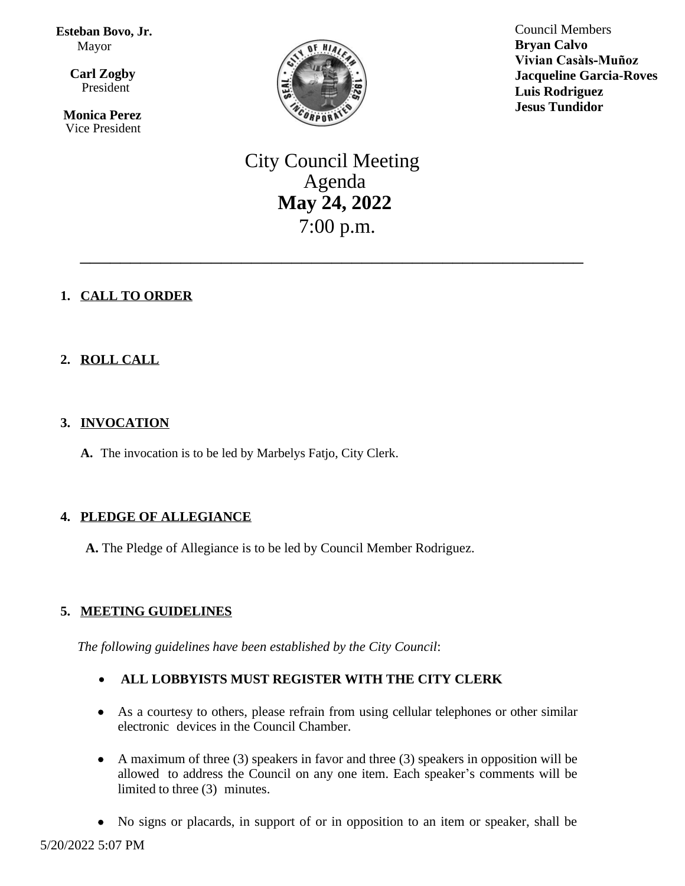**Esteban Bovo, Jr.** Mayor

 $\overline{a}$ **Carl Zogby** President

> **Monica Perez** Vice President



Council Members **Bryan Calvo Vivian Casàls-Muñoz Jacqueline Garcia-Roves Luis Rodriguez Jesus Tundidor**

# City Council Meeting Agenda **May 24, 2022** 7:00 p.m.

\_\_\_\_\_\_\_\_\_\_\_\_\_\_\_\_\_\_\_\_\_\_\_\_\_\_\_\_\_\_\_\_\_\_\_\_\_\_\_\_\_\_\_\_\_\_\_\_\_\_

# **1. CALL TO ORDER**

# **2. ROLL CALL**

## **3. INVOCATION**

**A.** The invocation is to be led by Marbelys Fatjo, City Clerk.

# **4. PLEDGE OF ALLEGIANCE**

**A.** The Pledge of Allegiance is to be led by Council Member Rodriguez.

# **5. MEETING GUIDELINES**

*The following guidelines have been established by the City Council*:

# **ALL LOBBYISTS MUST REGISTER WITH THE CITY CLERK**

- As a courtesy to others, please refrain from using cellular telephones or other similar electronic devices in the Council Chamber.
- A maximum of three (3) speakers in favor and three (3) speakers in opposition will be allowed to address the Council on any one item. Each speaker's comments will be limited to three (3) minutes.
- No signs or placards, in support of or in opposition to an item or speaker, shall be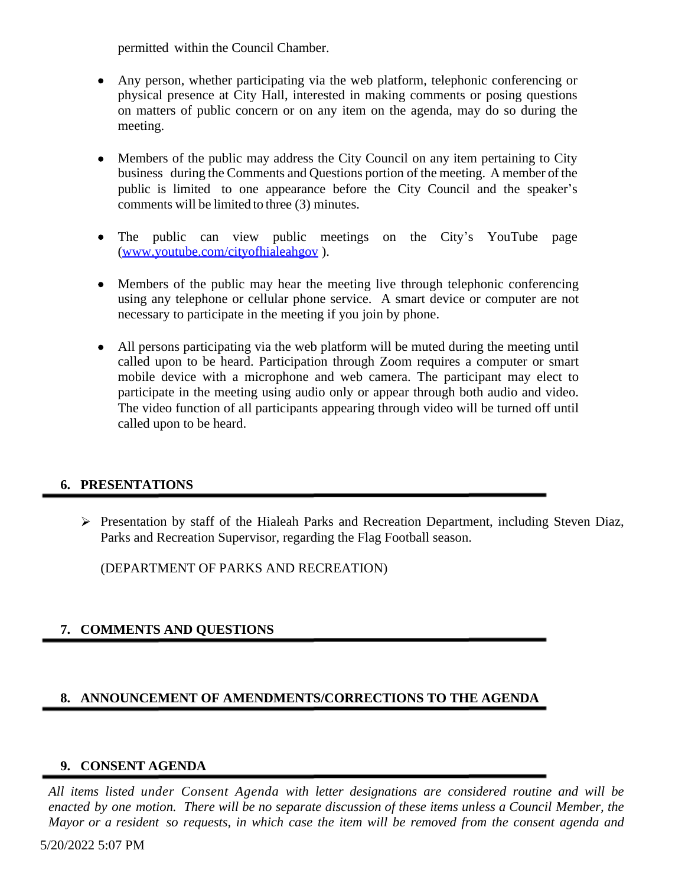permitted within the Council Chamber.

- Any person, whether participating via the web platform, telephonic conferencing or physical presence at City Hall, interested in making comments or posing questions on matters of public concern or on any item on the agenda, may do so during the meeting.
- Members of the public may address the City Council on any item pertaining to City business during the Comments and Questions portion of the meeting. A member of the public is limited to one appearance before the City Council and the speaker's comments will be limited to three (3) minutes.
- The public can view public meetings on the City's YouTube page [\(www.youtube.com/cityofhialeahgov](http://www.youtube.com/cityofhialeahgov) ).
- Members of the public may hear the meeting live through telephonic conferencing using any telephone or cellular phone service. A smart device or computer are not necessary to participate in the meeting if you join by phone.
- All persons participating via the web platform will be muted during the meeting until called upon to be heard. Participation through Zoom requires a computer or smart mobile device with a microphone and web camera. The participant may elect to participate in the meeting using audio only or appear through both audio and video. The video function of all participants appearing through video will be turned off until called upon to be heard.

## **6. PRESENTATIONS**

 Presentation by staff of the Hialeah Parks and Recreation Department, including Steven Diaz, Parks and Recreation Supervisor, regarding the Flag Football season.

(DEPARTMENT OF PARKS AND RECREATION)

# **7. COMMENTS AND QUESTIONS**

## **8. ANNOUNCEMENT OF AMENDMENTS/CORRECTIONS TO THE AGENDA**

## **9. CONSENT AGENDA**

*All items listed under Consent Agenda with letter designations are considered routine and will be* enacted by one motion. There will be no separate discussion of these items unless a Council Member, the Mayor or a resident so requests, in which case the item will be removed from the consent agenda and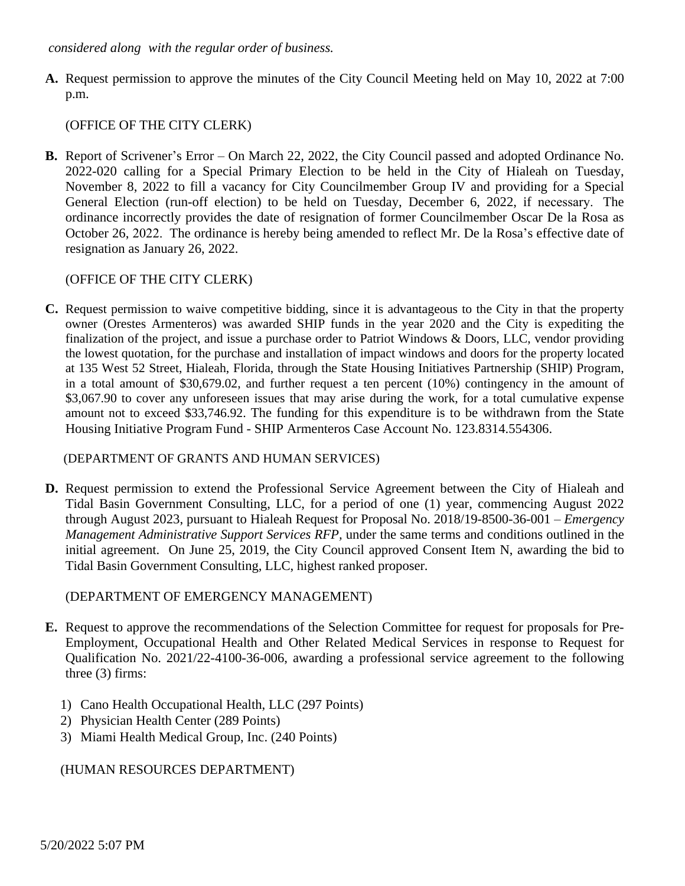#### *considered along with the regular order of business.*

**A.** Request permission to approve the minutes of the City Council Meeting held on May 10, 2022 at 7:00 p.m.

## (OFFICE OF THE CITY CLERK)

**B.** Report of Scrivener's Error – On March 22, 2022, the City Council passed and adopted Ordinance No. 2022-020 calling for a Special Primary Election to be held in the City of Hialeah on Tuesday, November 8, 2022 to fill a vacancy for City Councilmember Group IV and providing for a Special General Election (run-off election) to be held on Tuesday, December 6, 2022, if necessary. The ordinance incorrectly provides the date of resignation of former Councilmember Oscar De la Rosa as October 26, 2022. The ordinance is hereby being amended to reflect Mr. De la Rosa's effective date of resignation as January 26, 2022.

## (OFFICE OF THE CITY CLERK)

**C.** Request permission to waive competitive bidding, since it is advantageous to the City in that the property owner (Orestes Armenteros) was awarded SHIP funds in the year 2020 and the City is expediting the finalization of the project, and issue a purchase order to Patriot Windows & Doors, LLC, vendor providing the lowest quotation, for the purchase and installation of impact windows and doors for the property located at 135 West 52 Street, Hialeah, Florida, through the State Housing Initiatives Partnership (SHIP) Program, in a total amount of \$30,679.02, and further request a ten percent (10%) contingency in the amount of \$3,067.90 to cover any unforeseen issues that may arise during the work, for a total cumulative expense amount not to exceed \$33,746.92. The funding for this expenditure is to be withdrawn from the State Housing Initiative Program Fund - SHIP Armenteros Case Account No. 123.8314.554306.

## (DEPARTMENT OF GRANTS AND HUMAN SERVICES)

**D.** Request permission to extend the Professional Service Agreement between the City of Hialeah and Tidal Basin Government Consulting, LLC, for a period of one (1) year, commencing August 2022 through August 2023, pursuant to Hialeah Request for Proposal No. 2018/19-8500-36-001 – *Emergency Management Administrative Support Services RFP,* under the same terms and conditions outlined in the initial agreement. On June 25, 2019, the City Council approved Consent Item N, awarding the bid to Tidal Basin Government Consulting, LLC, highest ranked proposer.

## (DEPARTMENT OF EMERGENCY MANAGEMENT)

- **E.** Request to approve the recommendations of the Selection Committee for request for proposals for Pre-Employment, Occupational Health and Other Related Medical Services in response to Request for Qualification No. 2021/22-4100-36-006, awarding a professional service agreement to the following three (3) firms:
	- 1) Cano Health Occupational Health, LLC (297 Points)
	- 2) Physician Health Center (289 Points)
	- 3) Miami Health Medical Group, Inc. (240 Points)

# (HUMAN RESOURCES DEPARTMENT)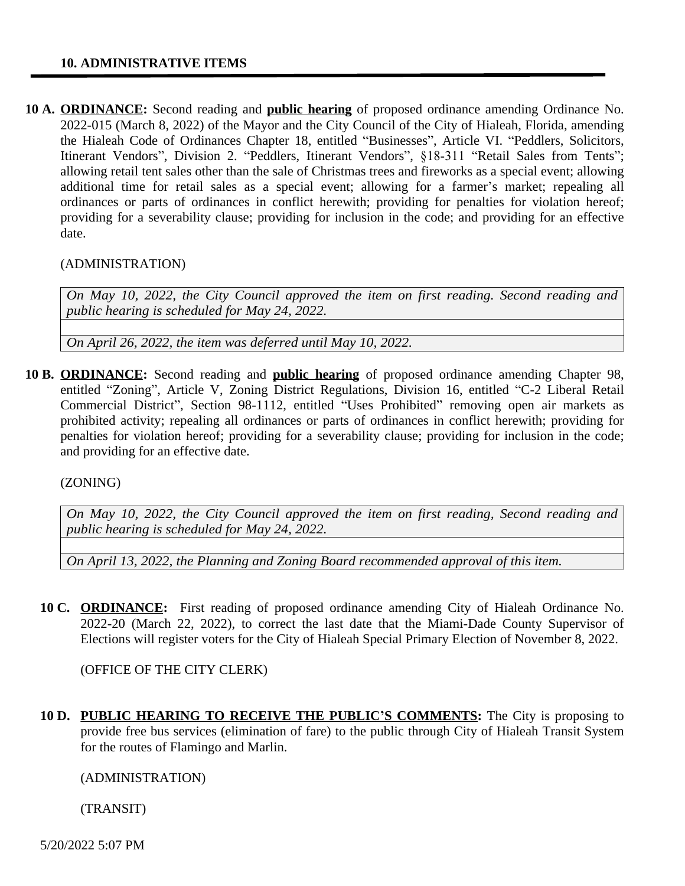#### **10. ADMINISTRATIVE ITEMS**

**10 A. ORDINANCE:** Second reading and **public hearing** of proposed ordinance amending Ordinance No. 2022-015 (March 8, 2022) of the Mayor and the City Council of the City of Hialeah, Florida, amending the Hialeah Code of Ordinances Chapter 18, entitled "Businesses", Article VI. "Peddlers, Solicitors, Itinerant Vendors", Division 2. "Peddlers, Itinerant Vendors", §18-311 "Retail Sales from Tents"; allowing retail tent sales other than the sale of Christmas trees and fireworks as a special event; allowing additional time for retail sales as a special event; allowing for a farmer's market; repealing all ordinances or parts of ordinances in conflict herewith; providing for penalties for violation hereof; providing for a severability clause; providing for inclusion in the code; and providing for an effective date.

#### (ADMINISTRATION)

*On May 10, 2022, the City Council approved the item on first reading. Second reading and public hearing is scheduled for May 24, 2022.*

*On April 26, 2022, the item was deferred until May 10, 2022.*

**10 B. ORDINANCE:** Second reading and **public hearing** of proposed ordinance amending Chapter 98, entitled "Zoning", Article V, Zoning District Regulations, Division 16, entitled "C-2 Liberal Retail Commercial District", Section 98-1112, entitled "Uses Prohibited" removing open air markets as prohibited activity; repealing all ordinances or parts of ordinances in conflict herewith; providing for penalties for violation hereof; providing for a severability clause; providing for inclusion in the code; and providing for an effective date.

(ZONING)

*On May 10, 2022, the City Council approved the item on first reading, Second reading and public hearing is scheduled for May 24, 2022.*

*On April 13, 2022, the Planning and Zoning Board recommended approval of this item.*

**10 C. ORDINANCE:** First reading of proposed ordinance amending City of Hialeah Ordinance No. 2022-20 (March 22, 2022), to correct the last date that the Miami-Dade County Supervisor of Elections will register voters for the City of Hialeah Special Primary Election of November 8, 2022.

(OFFICE OF THE CITY CLERK)

**10 D. PUBLIC HEARING TO RECEIVE THE PUBLIC'S COMMENTS:** The City is proposing to provide free bus services (elimination of fare) to the public through City of Hialeah Transit System for the routes of Flamingo and Marlin.

(ADMINISTRATION)

(TRANSIT)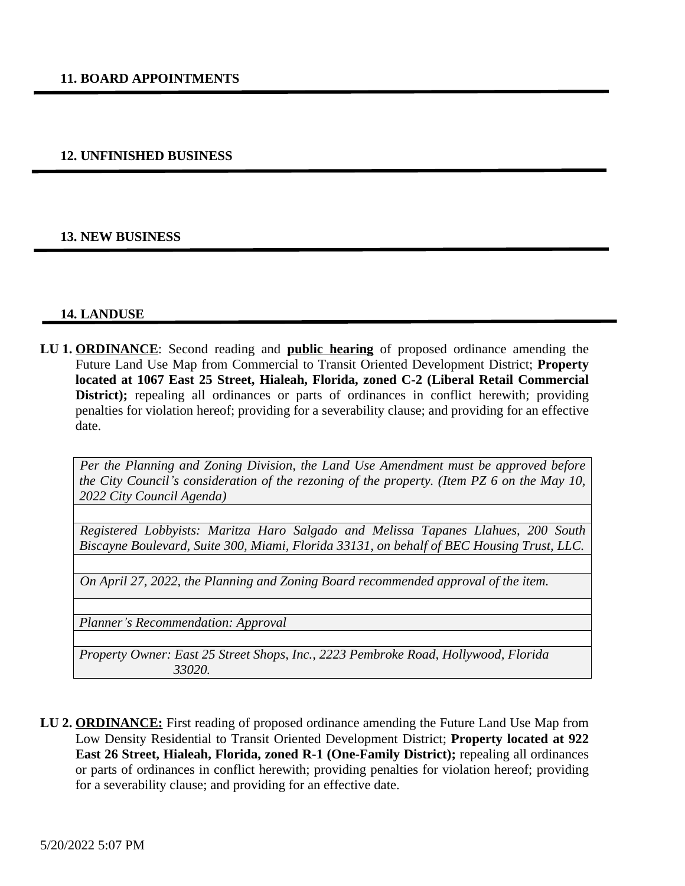#### **12. UNFINISHED BUSINESS**

#### **13. NEW BUSINESS**

#### **14. LANDUSE**

**LU 1. ORDINANCE**: Second reading and **public hearing** of proposed ordinance amending the Future Land Use Map from Commercial to Transit Oriented Development District; **Property located at 1067 East 25 Street, Hialeah, Florida, zoned C-2 (Liberal Retail Commercial District);** repealing all ordinances or parts of ordinances in conflict herewith; providing penalties for violation hereof; providing for a severability clause; and providing for an effective date.

*Per the Planning and Zoning Division, the Land Use Amendment must be approved before the City Council's consideration of the rezoning of the property. (Item PZ 6 on the May 10, 2022 City Council Agenda)* 

*Registered Lobbyists: Maritza Haro Salgado and Melissa Tapanes Llahues, 200 South Biscayne Boulevard, Suite 300, Miami, Florida 33131, on behalf of BEC Housing Trust, LLC.*

*On April 27, 2022, the Planning and Zoning Board recommended approval of the item.*

*Planner's Recommendation: Approval*

*Property Owner: East 25 Street Shops, Inc., 2223 Pembroke Road, Hollywood, Florida 33020.*

**LU 2. ORDINANCE:** First reading of proposed ordinance amending the Future Land Use Map from Low Density Residential to Transit Oriented Development District; **Property located at 922 East 26 Street, Hialeah, Florida, zoned R-1 (One-Family District);** repealing all ordinances or parts of ordinances in conflict herewith; providing penalties for violation hereof; providing for a severability clause; and providing for an effective date.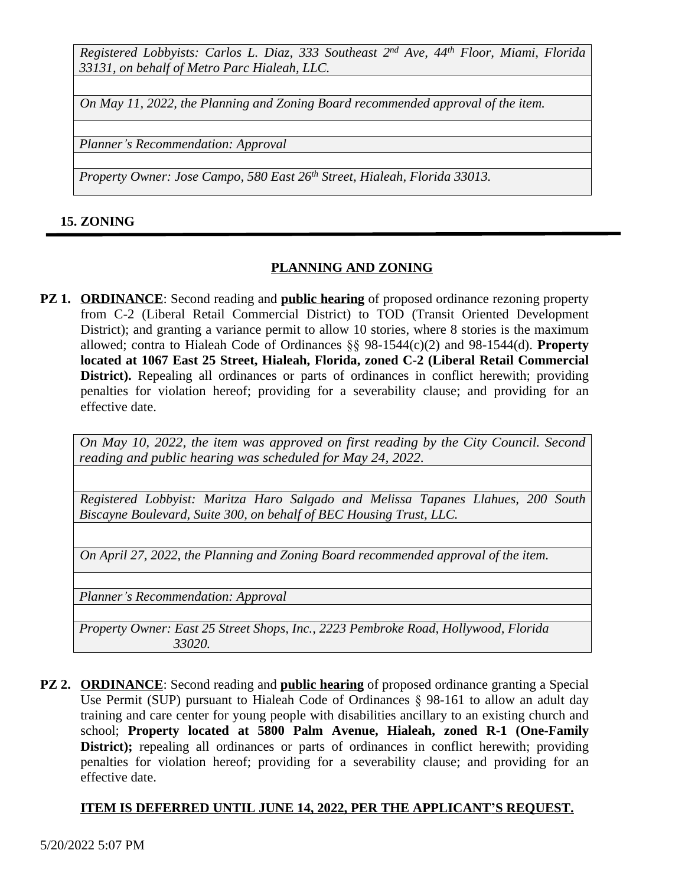*Registered Lobbyists: Carlos L. Diaz, 333 Southeast 2 nd Ave, 44th Floor, Miami, Florida 33131, on behalf of Metro Parc Hialeah, LLC.*

*On May 11, 2022, the Planning and Zoning Board recommended approval of the item.*

*Planner's Recommendation: Approval*

*Property Owner: Jose Campo, 580 East 26th Street, Hialeah, Florida 33013.*

#### **15. ZONING**

## **PLANNING AND ZONING**

**PZ 1. ORDINANCE:** Second reading and **public hearing** of proposed ordinance rezoning property from C-2 (Liberal Retail Commercial District) to TOD (Transit Oriented Development District); and granting a variance permit to allow 10 stories, where 8 stories is the maximum allowed; contra to Hialeah Code of Ordinances §§ 98-1544(c)(2) and 98-1544(d). **Property located at 1067 East 25 Street, Hialeah, Florida, zoned C-2 (Liberal Retail Commercial District).** Repealing all ordinances or parts of ordinances in conflict herewith; providing penalties for violation hereof; providing for a severability clause; and providing for an effective date.

*On May 10, 2022, the item was approved on first reading by the City Council. Second reading and public hearing was scheduled for May 24, 2022.*

*Registered Lobbyist: Maritza Haro Salgado and Melissa Tapanes Llahues, 200 South Biscayne Boulevard, Suite 300, on behalf of BEC Housing Trust, LLC.*

*On April 27, 2022, the Planning and Zoning Board recommended approval of the item.*

*Planner's Recommendation: Approval*

*Property Owner: East 25 Street Shops, Inc., 2223 Pembroke Road, Hollywood, Florida 33020.*

**PZ 2. ORDINANCE**: Second reading and **public hearing** of proposed ordinance granting a Special Use Permit (SUP) pursuant to Hialeah Code of Ordinances § 98-161 to allow an adult day training and care center for young people with disabilities ancillary to an existing church and school; **Property located at 5800 Palm Avenue, Hialeah, zoned R-1 (One-Family District);** repealing all ordinances or parts of ordinances in conflict herewith; providing penalties for violation hereof; providing for a severability clause; and providing for an effective date.

#### **ITEM IS DEFERRED UNTIL JUNE 14, 2022, PER THE APPLICANT'S REQUEST.**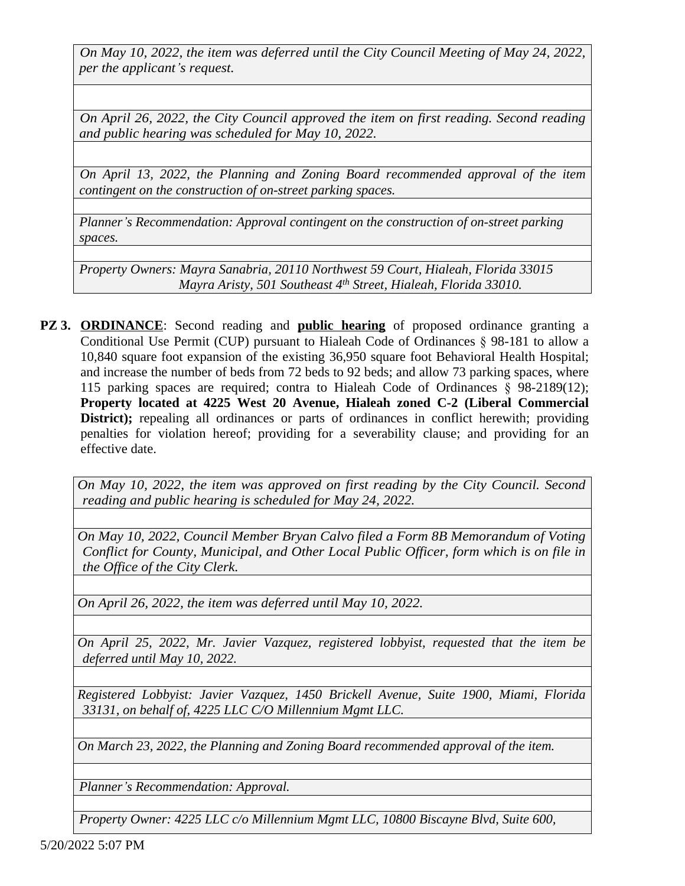*On May 10, 2022, the item was deferred until the City Council Meeting of May 24, 2022, per the applicant's request.*

*On April 26, 2022, the City Council approved the item on first reading. Second reading and public hearing was scheduled for May 10, 2022.*

*On April 13, 2022, the Planning and Zoning Board recommended approval of the item contingent on the construction of on-street parking spaces.*

*Planner's Recommendation: Approval contingent on the construction of on-street parking spaces.*

*Property Owners: Mayra Sanabria, 20110 Northwest 59 Court, Hialeah, Florida 33015 Mayra Aristy, 501 Southeast 4th Street, Hialeah, Florida 33010.*

**PZ 3. ORDINANCE**: Second reading and **public hearing** of proposed ordinance granting a Conditional Use Permit (CUP) pursuant to Hialeah Code of Ordinances § 98-181 to allow a 10,840 square foot expansion of the existing 36,950 square foot Behavioral Health Hospital; and increase the number of beds from 72 beds to 92 beds; and allow 73 parking spaces, where 115 parking spaces are required; contra to Hialeah Code of Ordinances § 98-2189(12); **Property located at 4225 West 20 Avenue, Hialeah zoned C-2 (Liberal Commercial District);** repealing all ordinances or parts of ordinances in conflict herewith; providing penalties for violation hereof; providing for a severability clause; and providing for an effective date.

*On May 10, 2022, the item was approved on first reading by the City Council. Second reading and public hearing is scheduled for May 24, 2022.*

*On May 10, 2022, Council Member Bryan Calvo filed a Form 8B Memorandum of Voting Conflict for County, Municipal, and Other Local Public Officer, form which is on file in the Office of the City Clerk.*

*On April 26, 2022, the item was deferred until May 10, 2022.*

*On April 25, 2022, Mr. Javier Vazquez, registered lobbyist, requested that the item be deferred until May 10, 2022.*

*Registered Lobbyist: Javier Vazquez, 1450 Brickell Avenue, Suite 1900, Miami, Florida 33131, on behalf of, 4225 LLC C/O Millennium Mgmt LLC.*

*On March 23, 2022, the Planning and Zoning Board recommended approval of the item.*

*Planner's Recommendation: Approval.*

*Property Owner: 4225 LLC c/o Millennium Mgmt LLC, 10800 Biscayne Blvd, Suite 600,*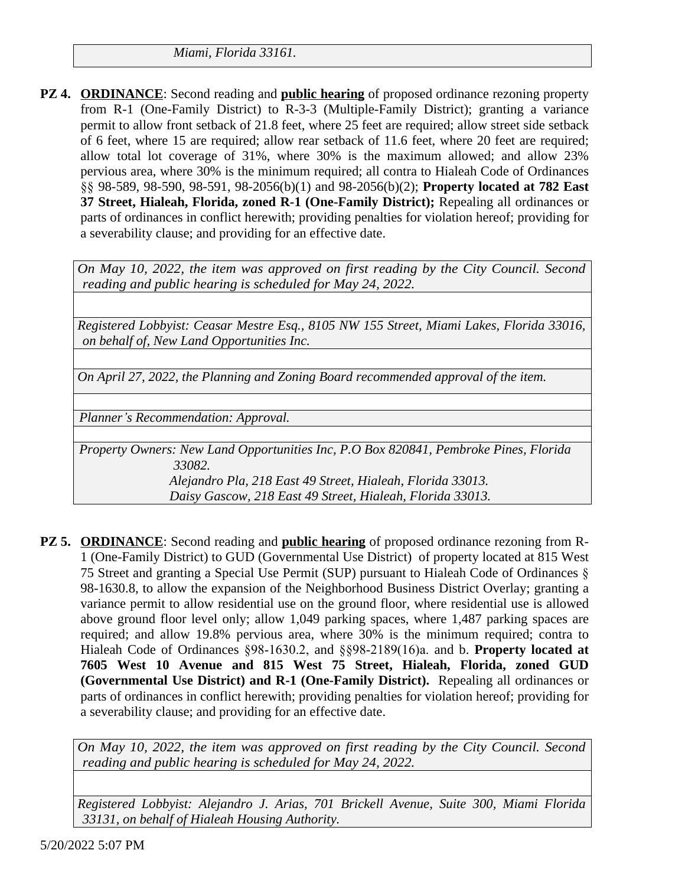*Miami, Florida 33161.*

**PZ 4. ORDINANCE**: Second reading and **public hearing** of proposed ordinance rezoning property from R-1 (One-Family District) to R-3-3 (Multiple-Family District); granting a variance permit to allow front setback of 21.8 feet, where 25 feet are required; allow street side setback of 6 feet, where 15 are required; allow rear setback of 11.6 feet, where 20 feet are required; allow total lot coverage of 31%, where 30% is the maximum allowed; and allow 23% pervious area, where 30% is the minimum required; all contra to Hialeah Code of Ordinances §§ 98-589, 98-590, 98-591, 98-2056(b)(1) and 98-2056(b)(2); **Property located at 782 East 37 Street, Hialeah, Florida, zoned R-1 (One-Family District);** Repealing all ordinances or parts of ordinances in conflict herewith; providing penalties for violation hereof; providing for a severability clause; and providing for an effective date.

*On May 10, 2022, the item was approved on first reading by the City Council. Second reading and public hearing is scheduled for May 24, 2022.*

*Registered Lobbyist: Ceasar Mestre Esq., 8105 NW 155 Street, Miami Lakes, Florida 33016, on behalf of, New Land Opportunities Inc.*

*On April 27, 2022, the Planning and Zoning Board recommended approval of the item.*

*Planner's Recommendation: Approval.*

*Property Owners: New Land Opportunities Inc, P.O Box 820841, Pembroke Pines, Florida 33082. Alejandro Pla, 218 East 49 Street, Hialeah, Florida 33013.*

*Daisy Gascow, 218 East 49 Street, Hialeah, Florida 33013.*

**PZ 5. ORDINANCE**: Second reading and **public hearing** of proposed ordinance rezoning from R-1 (One-Family District) to GUD (Governmental Use District) of property located at 815 West 75 Street and granting a Special Use Permit (SUP) pursuant to Hialeah Code of Ordinances § 98-1630.8, to allow the expansion of the Neighborhood Business District Overlay; granting a variance permit to allow residential use on the ground floor, where residential use is allowed above ground floor level only; allow 1,049 parking spaces, where 1,487 parking spaces are required; and allow 19.8% pervious area, where 30% is the minimum required; contra to Hialeah Code of Ordinances §98-1630.2, and §§98-2189(16)a. and b. **Property located at 7605 West 10 Avenue and 815 West 75 Street, Hialeah, Florida, zoned GUD (Governmental Use District) and R-1 (One-Family District).** Repealing all ordinances or parts of ordinances in conflict herewith; providing penalties for violation hereof; providing for a severability clause; and providing for an effective date.

*On May 10, 2022, the item was approved on first reading by the City Council. Second reading and public hearing is scheduled for May 24, 2022.*

*Registered Lobbyist: Alejandro J. Arias, 701 Brickell Avenue, Suite 300, Miami Florida 33131, on behalf of Hialeah Housing Authority.*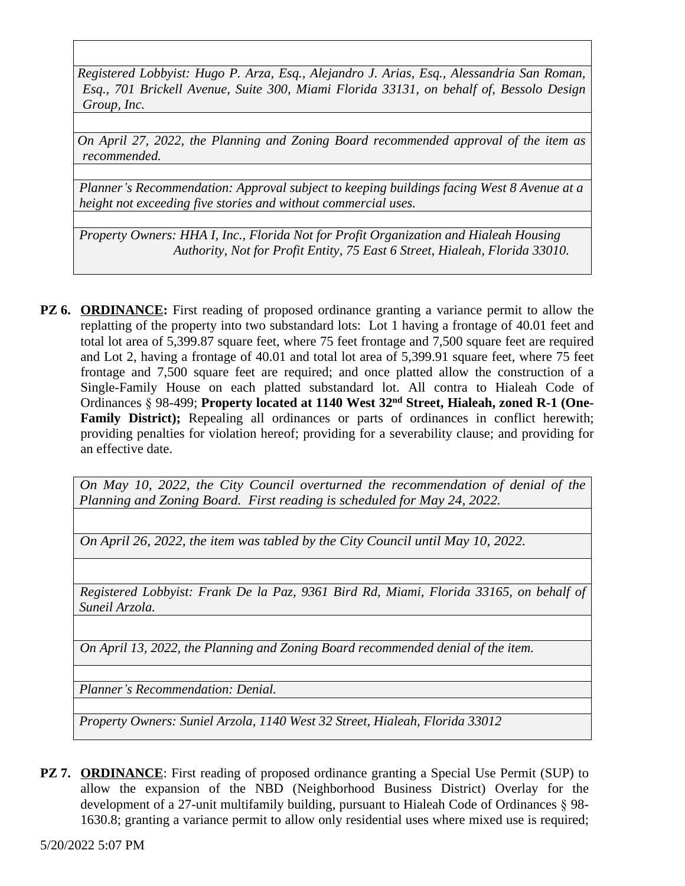*Registered Lobbyist: Hugo P. Arza, Esq., Alejandro J. Arias, Esq., Alessandria San Roman, Esq., 701 Brickell Avenue, Suite 300, Miami Florida 33131, on behalf of, Bessolo Design Group, Inc.*

*On April 27, 2022, the Planning and Zoning Board recommended approval of the item as recommended.*

*Planner's Recommendation: Approval subject to keeping buildings facing West 8 Avenue at a height not exceeding five stories and without commercial uses.*

*Property Owners: HHA I, Inc., Florida Not for Profit Organization and Hialeah Housing Authority, Not for Profit Entity, 75 East 6 Street, Hialeah, Florida 33010.*

**PZ 6. ORDINANCE:** First reading of proposed ordinance granting a variance permit to allow the replatting of the property into two substandard lots: Lot 1 having a frontage of 40.01 feet and total lot area of 5,399.87 square feet, where 75 feet frontage and 7,500 square feet are required and Lot 2, having a frontage of 40.01 and total lot area of 5,399.91 square feet, where 75 feet frontage and 7,500 square feet are required; and once platted allow the construction of a Single-Family House on each platted substandard lot. All contra to Hialeah Code of Ordinances § 98-499; **Property located at 1140 West 32nd Street, Hialeah, zoned R-1 (One-Family District);** Repealing all ordinances or parts of ordinances in conflict herewith; providing penalties for violation hereof; providing for a severability clause; and providing for an effective date.

*On May 10, 2022, the City Council overturned the recommendation of denial of the Planning and Zoning Board. First reading is scheduled for May 24, 2022.*

*On April 26, 2022, the item was tabled by the City Council until May 10, 2022.*

*Registered Lobbyist: Frank De la Paz, 9361 Bird Rd, Miami, Florida 33165, on behalf of Suneil Arzola.*

*On April 13, 2022, the Planning and Zoning Board recommended denial of the item.*

*Planner's Recommendation: Denial.*

*Property Owners: Suniel Arzola, 1140 West 32 Street, Hialeah, Florida 33012*

**PZ 7. ORDINANCE:** First reading of proposed ordinance granting a Special Use Permit (SUP) to allow the expansion of the NBD (Neighborhood Business District) Overlay for the development of a 27-unit multifamily building, pursuant to Hialeah Code of Ordinances § 98- 1630.8; granting a variance permit to allow only residential uses where mixed use is required;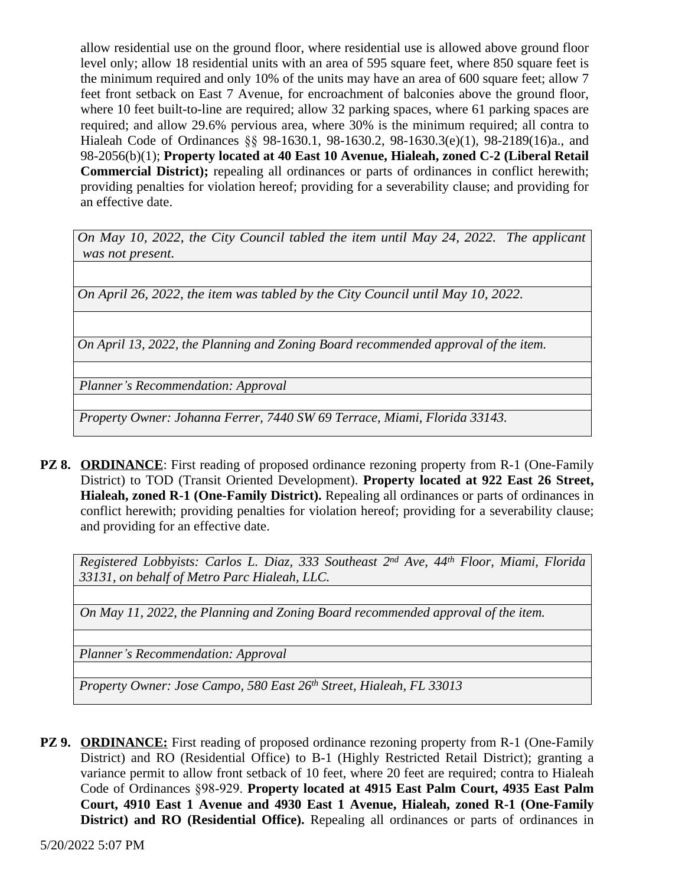allow residential use on the ground floor, where residential use is allowed above ground floor level only; allow 18 residential units with an area of 595 square feet, where 850 square feet is the minimum required and only 10% of the units may have an area of 600 square feet; allow 7 feet front setback on East 7 Avenue, for encroachment of balconies above the ground floor, where 10 feet built-to-line are required; allow 32 parking spaces, where 61 parking spaces are required; and allow 29.6% pervious area, where 30% is the minimum required; all contra to Hialeah Code of Ordinances §§ 98-1630.1, 98-1630.2, 98-1630.3(e)(1), 98-2189(16)a., and 98-2056(b)(1); **Property located at 40 East 10 Avenue, Hialeah, zoned C-2 (Liberal Retail Commercial District);** repealing all ordinances or parts of ordinances in conflict herewith; providing penalties for violation hereof; providing for a severability clause; and providing for an effective date.

*On May 10, 2022, the City Council tabled the item until May 24, 2022. The applicant was not present.*

*On April 26, 2022, the item was tabled by the City Council until May 10, 2022.*

*On April 13, 2022, the Planning and Zoning Board recommended approval of the item.*

*Planner's Recommendation: Approval*

*Property Owner: Johanna Ferrer, 7440 SW 69 Terrace, Miami, Florida 33143.*

**PZ 8. ORDINANCE:** First reading of proposed ordinance rezoning property from R-1 (One-Family District) to TOD (Transit Oriented Development). **Property located at 922 East 26 Street, Hialeah, zoned R-1 (One-Family District).** Repealing all ordinances or parts of ordinances in conflict herewith; providing penalties for violation hereof; providing for a severability clause; and providing for an effective date.

*Registered Lobbyists: Carlos L. Diaz, 333 Southeast 2 nd Ave, 44th Floor, Miami, Florida 33131, on behalf of Metro Parc Hialeah, LLC.*

*On May 11, 2022, the Planning and Zoning Board recommended approval of the item.*

*Planner's Recommendation: Approval*

*Property Owner: Jose Campo, 580 East 26th Street, Hialeah, FL 33013*

**PZ 9. ORDINANCE:** First reading of proposed ordinance rezoning property from R-1 (One-Family District) and RO (Residential Office) to B-1 (Highly Restricted Retail District); granting a variance permit to allow front setback of 10 feet, where 20 feet are required; contra to Hialeah Code of Ordinances §98-929. **Property located at 4915 East Palm Court, 4935 East Palm Court, 4910 East 1 Avenue and 4930 East 1 Avenue, Hialeah, zoned R-1 (One-Family District) and RO (Residential Office).** Repealing all ordinances or parts of ordinances in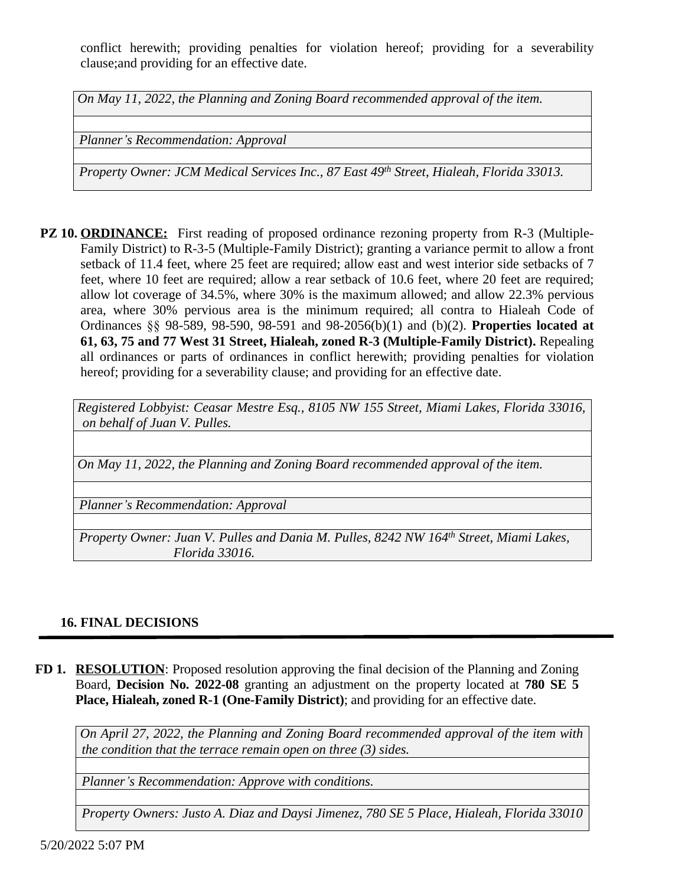conflict herewith; providing penalties for violation hereof; providing for a severability clause;and providing for an effective date.

*On May 11, 2022, the Planning and Zoning Board recommended approval of the item.*

*Planner's Recommendation: Approval*

*Property Owner: JCM Medical Services Inc., 87 East 49th Street, Hialeah, Florida 33013.*

**PZ 10. ORDINANCE:** First reading of proposed ordinance rezoning property from R-3 (Multiple-Family District) to R-3-5 (Multiple-Family District); granting a variance permit to allow a front setback of 11.4 feet, where 25 feet are required; allow east and west interior side setbacks of 7 feet, where 10 feet are required; allow a rear setback of 10.6 feet, where 20 feet are required; allow lot coverage of 34.5%, where 30% is the maximum allowed; and allow 22.3% pervious area, where 30% pervious area is the minimum required; all contra to Hialeah Code of Ordinances §§ 98-589, 98-590, 98-591 and 98-2056(b)(1) and (b)(2). **Properties located at 61, 63, 75 and 77 West 31 Street, Hialeah, zoned R-3 (Multiple-Family District).** Repealing all ordinances or parts of ordinances in conflict herewith; providing penalties for violation hereof; providing for a severability clause; and providing for an effective date.

*Registered Lobbyist: Ceasar Mestre Esq., 8105 NW 155 Street, Miami Lakes, Florida 33016, on behalf of Juan V. Pulles.*

*On May 11, 2022, the Planning and Zoning Board recommended approval of the item.*

*Planner's Recommendation: Approval*

*Property Owner: Juan V. Pulles and Dania M. Pulles, 8242 NW 164th Street, Miami Lakes, Florida 33016.*

#### **16. FINAL DECISIONS**

**FD 1. RESOLUTION**: Proposed resolution approving the final decision of the Planning and Zoning Board, **Decision No. 2022-08** granting an adjustment on the property located at **780 SE 5 Place, Hialeah, zoned R-1 (One-Family District)**; and providing for an effective date.

*On April 27, 2022, the Planning and Zoning Board recommended approval of the item with the condition that the terrace remain open on three (3) sides.*

*Planner's Recommendation: Approve with conditions.*

*Property Owners: Justo A. Diaz and Daysi Jimenez, 780 SE 5 Place, Hialeah, Florida 33010*